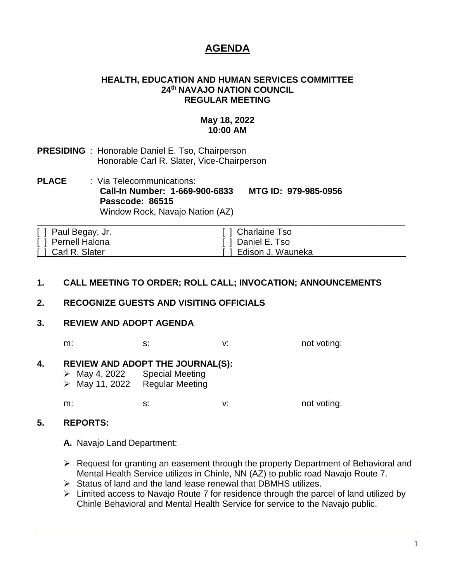# **AGENDA**

#### **HEALTH, EDUCATION AND HUMAN SERVICES COMMITTEE 24th NAVAJO NATION COUNCIL REGULAR MEETING**

#### **May 18, 2022 10:00 AM**

- **PRESIDING** : Honorable Daniel E. Tso, Chairperson Honorable Carl R. Slater, Vice-Chairperson
- **PLACE** : Via Telecommunications: **Call-In Number: 1-669-900-6833 MTG ID: 979-985-0956 Passcode: 86515** Window Rock, Navajo Nation (AZ)

| [ ] Paul Begay, Jr. | [ ] Charlaine Tso     |
|---------------------|-----------------------|
| [ ] Pernell Halona  | [ ] Daniel E. Tso     |
| [ ] Carl R. Slater  | [ ] Edison J. Wauneka |

# **1. CALL MEETING TO ORDER; ROLL CALL; INVOCATION; ANNOUNCEMENTS**

#### **2. RECOGNIZE GUESTS AND VISITING OFFICIALS**

#### **3. REVIEW AND ADOPT AGENDA**

m: s: s: v: not voting:

# **4. REVIEW AND ADOPT THE JOURNAL(S):**

- ➢ May 4, 2022 Special Meeting
- ➢ May 11, 2022 Regular Meeting

m: s: v: not voting:

#### **5. REPORTS:**

**A.** Navajo Land Department:

- ➢ Request for granting an easement through the property Department of Behavioral and Mental Health Service utilizes in Chinle, NN (AZ) to public road Navajo Route 7.
- ➢ Status of land and the land lease renewal that DBMHS utilizes.
- ➢ Limited access to Navajo Route 7 for residence through the parcel of land utilized by Chinle Behavioral and Mental Health Service for service to the Navajo public.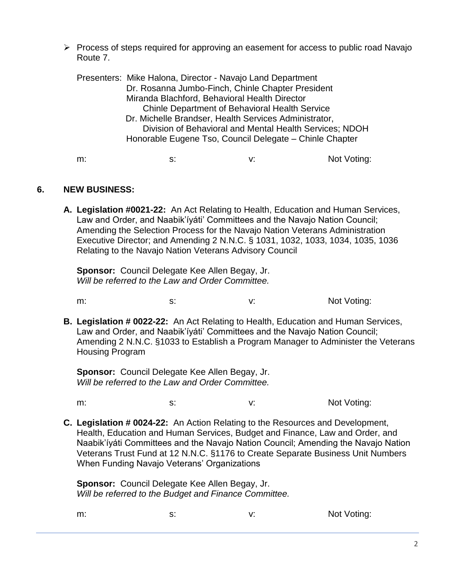➢ Process of steps required for approving an easement for access to public road Navajo Route 7.

Presenters: Mike Halona, Director - Navajo Land Department Dr. Rosanna Jumbo-Finch, Chinle Chapter President Miranda Blachford, Behavioral Health Director Chinle Department of Behavioral Health Service Dr. Michelle Brandser, Health Services Administrator, Division of Behavioral and Mental Health Services; NDOH Honorable Eugene Tso, Council Delegate – Chinle Chapter

m: s: s: v: Not Voting:

# **6. NEW BUSINESS:**

**A. Legislation #0021-22:** An Act Relating to Health, Education and Human Services, Law and Order, and Naabik'íyáti' Committees and the Navajo Nation Council; Amending the Selection Process for the Navajo Nation Veterans Administration Executive Director; and Amending 2 N.N.C. § 1031, 1032, 1033, 1034, 1035, 1036 Relating to the Navajo Nation Veterans Advisory Council

**Sponsor:** Council Delegate Kee Allen Begay, Jr. *Will be referred to the Law and Order Committee.*

- m: s: s: v: V: Not Voting:
- **B. Legislation # 0022-22:** An Act Relating to Health, Education and Human Services, Law and Order, and Naabik'íyáti' Committees and the Navajo Nation Council; Amending 2 N.N.C. §1033 to Establish a Program Manager to Administer the Veterans Housing Program

**Sponsor:** Council Delegate Kee Allen Begay, Jr. *Will be referred to the Law and Order Committee.*

m: s: s: v: V: Not Voting:

**C. Legislation # 0024-22:** An Action Relating to the Resources and Development, Health, Education and Human Services, Budget and Finance, Law and Order, and Naabik'íyáti Committees and the Navajo Nation Council; Amending the Navajo Nation Veterans Trust Fund at 12 N.N.C. §1176 to Create Separate Business Unit Numbers When Funding Navajo Veterans' Organizations

**Sponsor:** Council Delegate Kee Allen Begay, Jr. *Will be referred to the Budget and Finance Committee.*

m: s: s: v: Not Voting: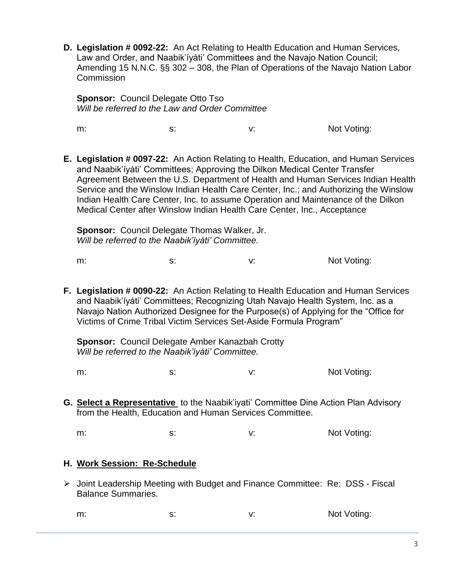**D. Legislation # 0092-22:** An Act Relating to Health Education and Human Services, Law and Order, and Naabik'íyáti' Committees and the Navajo Nation Council; Amending 15 N.N.C. §§ 302 – 308, the Plan of Operations of the Navajo Nation Labor **Commission** 

**Sponsor: Council Delegate Otto Tso** *Will be referred to the Law and Order Committee*

m: s: s: v: V: Not Voting:

**E. Legislation # 0097-22:** An Action Relating to Health, Education, and Human Services and Naabik'íyáti' Committees; Approving the Dilkon Medical Center Transfer Agreement Between the U.S. Department of Health and Human Services Indian Health Service and the Winslow Indian Health Care Center, Inc.; and Authorizing the Winslow Indian Health Care Center, Inc. to assume Operation and Maintenance of the Dilkon Medical Center after Winslow Indian Health Care Center, Inc., Acceptance

**Sponsor:** Council Delegate Thomas Walker, Jr. *Will be referred to the Naabik'íyáti' Committee.*

m: s: s: v: Not Voting:

**F. Legislation # 0090-22:** An Action Relating to Health Education and Human Services and Naabik'íyáti' Committees; Recognizing Utah Navajo Health System, Inc. as a Navajo Nation Authorized Designee for the Purpose(s) of Applying for the "Office for Victims of Crime Tribal Victim Services Set-Aside Formula Program"

**Sponsor:** Council Delegate Amber Kanazbah Crotty *Will be referred to the Naabik'íyáti' Committee.*

m: s: s: v: V: Not Voting:

**G. Select a Representative** to the Naabik'iyati' Committee Dine Action Plan Advisory from the Health, Education and Human Services Committee.

m: s: s: v: Not Voting:

# **H. Work Session: Re-Schedule**

➢ Joint Leadership Meeting with Budget and Finance Committee: Re: DSS - Fiscal Balance Summaries.

m: s: s: v: V: Not Voting: